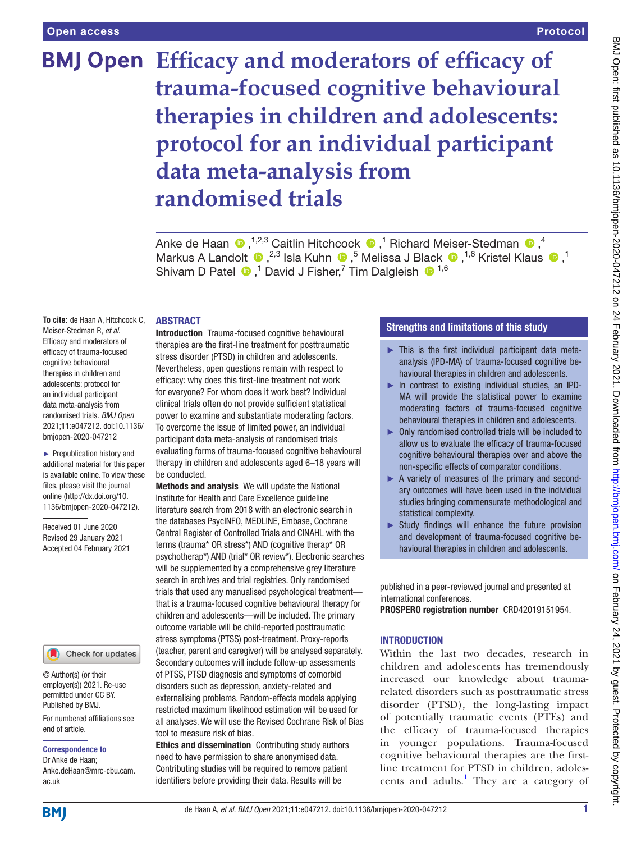# **BMJ Open** Efficacy and moderators of efficacy of **trauma-focused cognitive behavioural therapies in children and adolescents: protocol for an individual participant data meta-analysis from randomised trials**

Ankede Haan  $\bigcirc$  ,<sup>1,2,3</sup> Caitlin Hitchcock  $\bigcirc$  ,<sup>1</sup> Richard Meiser-Stedman  $\bigcirc$  ,<sup>4</sup> MarkusA Landolt  $\bigcirc$ ,<sup>2,3</sup> Isla Kuhn  $\bigcirc$ ,<sup>5</sup> Melissa J Black  $\bigcirc$ ,<sup>1,6</sup> Kristel Klaus  $\bigcirc$ ,<sup>1</sup> ShivamD Patel  $\bigcirc$ ,<sup>1</sup> David J Fisher,<sup>7</sup> Tim Dalgleish  $\bigcirc$ <sup>1,6</sup>

#### ABSTRACT

**To cite:** de Haan A, Hitchcock C, Meiser-Stedman R, *et al*. Efficacy and moderators of efficacy of trauma-focused cognitive behavioural therapies in children and adolescents: protocol for an individual participant data meta-analysis from randomised trials. *BMJ Open* 2021;11:e047212. doi:10.1136/ bmjopen-2020-047212

► Prepublication history and additional material for this paper is available online. To view these files, please visit the journal online [\(http://dx.doi.org/10.](http://dx.doi.org/10.1136/bmjopen-2020-047212) [1136/bmjopen-2020-047212\)](http://dx.doi.org/10.1136/bmjopen-2020-047212).

Received 01 June 2020 Revised 29 January 2021 Accepted 04 February 2021



© Author(s) (or their employer(s)) 2021. Re-use permitted under CC BY. Published by BMJ.

For numbered affiliations see end of article.

Correspondence to

Dr Anke de Haan; Anke.deHaan@mrc-cbu.cam. ac.uk

Introduction Trauma-focused cognitive behavioural therapies are the first-line treatment for posttraumatic stress disorder (PTSD) in children and adolescents. Nevertheless, open questions remain with respect to efficacy: why does this first-line treatment not work for everyone? For whom does it work best? Individual clinical trials often do not provide sufficient statistical power to examine and substantiate moderating factors. To overcome the issue of limited power, an individual participant data meta-analysis of randomised trials evaluating forms of trauma-focused cognitive behavioural therapy in children and adolescents aged 6–18 years will be conducted.

Methods and analysis We will update the National Institute for Health and Care Excellence guideline literature search from 2018 with an electronic search in the databases PsycINFO, MEDLINE, Embase, Cochrane Central Register of Controlled Trials and CINAHL with the terms (trauma\* OR stress\*) AND (cognitive therap\* OR psychotherap\*) AND (trial\* OR review\*). Electronic searches will be supplemented by a comprehensive grey literature search in archives and trial registries. Only randomised trials that used any manualised psychological treatment that is a trauma-focused cognitive behavioural therapy for children and adolescents—will be included. The primary outcome variable will be child-reported posttraumatic stress symptoms (PTSS) post-treatment. Proxy-reports (teacher, parent and caregiver) will be analysed separately. Secondary outcomes will include follow-up assessments of PTSS, PTSD diagnosis and symptoms of comorbid disorders such as depression, anxiety-related and externalising problems. Random-effects models applying restricted maximum likelihood estimation will be used for all analyses. We will use the Revised Cochrane Risk of Bias tool to measure risk of bias.

Ethics and dissemination Contributing study authors need to have permission to share anonymised data. Contributing studies will be required to remove patient identifiers before providing their data. Results will be

## Strengths and limitations of this study

- $\blacktriangleright$  This is the first individual participant data metaanalysis (IPD-MA) of trauma-focused cognitive behavioural therapies in children and adolescents.
- ► In contrast to existing individual studies, an IPD-MA will provide the statistical power to examine moderating factors of trauma-focused cognitive behavioural therapies in children and adolescents.
- ► Only randomised controlled trials will be included to allow us to evaluate the efficacy of trauma-focused cognitive behavioural therapies over and above the non-specific effects of comparator conditions.
- ► A variety of measures of the primary and secondary outcomes will have been used in the individual studies bringing commensurate methodological and statistical complexity.
- ► Study findings will enhance the future provision and development of trauma-focused cognitive behavioural therapies in children and adolescents.

published in a peer-reviewed journal and presented at international conferences.

PROSPERO registration number CRD42019151954.

#### **INTRODUCTION**

Within the last two decades, research in children and adolescents has tremendously increased our knowledge about traumarelated disorders such as posttraumatic stress disorder (PTSD), the long-lasting impact of potentially traumatic events (PTEs) and the efficacy of trauma-focused therapies in younger populations. Trauma-focused cognitive behavioural therapies are the firstline treatment for PTSD in children, adolescents and adults.<sup>1</sup> They are a category of

**BMI**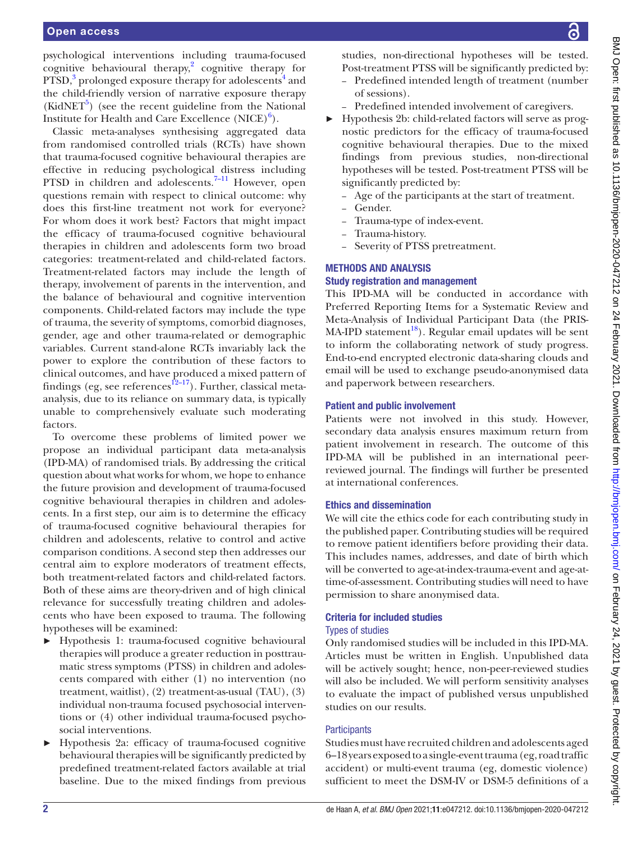#### Open access

psychological interventions including trauma-focused cognitive behavioural therapy, [2](#page-6-1) cognitive therapy for PTSD,<sup>[3](#page-6-2)</sup> prolonged exposure therapy for adolescents<sup>[4](#page-6-3)</sup> and the child-friendly version of narrative exposure therapy  $(KidNET<sup>5</sup>)$  $(KidNET<sup>5</sup>)$  $(KidNET<sup>5</sup>)$  (see the recent guideline from the National Institute for Health and Care Excellence  $(NICE)^6$  $(NICE)^6$ .

Classic meta-analyses synthesising aggregated data from randomised controlled trials (RCTs) have shown that trauma-focused cognitive behavioural therapies are effective in reducing psychological distress including PTSD in children and adolescents. $7-11$  However, open questions remain with respect to clinical outcome: why does this first-line treatment not work for everyone? For whom does it work best? Factors that might impact the efficacy of trauma-focused cognitive behavioural therapies in children and adolescents form two broad categories: treatment-related and child-related factors. Treatment-related factors may include the length of therapy, involvement of parents in the intervention, and the balance of behavioural and cognitive intervention components. Child-related factors may include the type of trauma, the severity of symptoms, comorbid diagnoses, gender, age and other trauma-related or demographic variables. Current stand-alone RCTs invariably lack the power to explore the contribution of these factors to clinical outcomes, and have produced a mixed pattern of findings (eg, see references $^{12-17}$ ). Further, classical metaanalysis, due to its reliance on summary data, is typically unable to comprehensively evaluate such moderating factors.

To overcome these problems of limited power we propose an individual participant data meta-analysis (IPD-MA) of randomised trials. By addressing the critical question about what works for whom, we hope to enhance the future provision and development of trauma-focused cognitive behavioural therapies in children and adolescents. In a first step, our aim is to determine the efficacy of trauma-focused cognitive behavioural therapies for children and adolescents, relative to control and active comparison conditions. A second step then addresses our central aim to explore moderators of treatment effects, both treatment-related factors and child-related factors. Both of these aims are theory-driven and of high clinical relevance for successfully treating children and adolescents who have been exposed to trauma. The following hypotheses will be examined:

- ► Hypothesis 1: trauma-focused cognitive behavioural therapies will produce a greater reduction in posttraumatic stress symptoms (PTSS) in children and adolescents compared with either (1) no intervention (no treatment, waitlist), (2) treatment-as-usual (TAU), (3) individual non-trauma focused psychosocial interventions or (4) other individual trauma-focused psychosocial interventions.
- ► Hypothesis 2a: efficacy of trauma-focused cognitive behavioural therapies will be significantly predicted by predefined treatment-related factors available at trial baseline. Due to the mixed findings from previous

studies, non-directional hypotheses will be tested. Post-treatment PTSS will be significantly predicted by:

- Predefined intended length of treatment (number of sessions).
- Predefined intended involvement of caregivers.
- ► Hypothesis 2b: child-related factors will serve as prognostic predictors for the efficacy of trauma-focused cognitive behavioural therapies. Due to the mixed findings from previous studies, non-directional hypotheses will be tested. Post-treatment PTSS will be significantly predicted by:
	- Age of the participants at the start of treatment.
	- Gender.
	- Trauma-type of index-event.
	- Trauma-history.
	- Severity of PTSS pretreatment.

## METHODS AND ANALYSIS

## Study registration and management

This IPD-MA will be conducted in accordance with Preferred Reporting Items for a Systematic Review and Meta-Analysis of Individual Participant Data (the PRIS- $MA-IPD statement<sup>18</sup>$ . Regular email updates will be sent to inform the collaborating network of study progress. End-to-end encrypted electronic data-sharing clouds and email will be used to exchange pseudo-anonymised data and paperwork between researchers.

#### Patient and public involvement

Patients were not involved in this study. However, secondary data analysis ensures maximum return from patient involvement in research. The outcome of this IPD-MA will be published in an international peerreviewed journal. The findings will further be presented at international conferences.

#### Ethics and dissemination

We will cite the ethics code for each contributing study in the published paper. Contributing studies will be required to remove patient identifiers before providing their data. This includes names, addresses, and date of birth which will be converted to age-at-index-trauma-event and age-attime-of-assessment. Contributing studies will need to have permission to share anonymised data.

# Criteria for included studies

## Types of studies

Only randomised studies will be included in this IPD-MA. Articles must be written in English. Unpublished data will be actively sought; hence, non-peer-reviewed studies will also be included. We will perform sensitivity analyses to evaluate the impact of published versus unpublished studies on our results.

## **Participants**

Studies must have recruited children and adolescents aged 6–18 years exposed to a single-event trauma (eg, road traffic accident) or multi-event trauma (eg, domestic violence) sufficient to meet the DSM-IV or DSM-5 definitions of a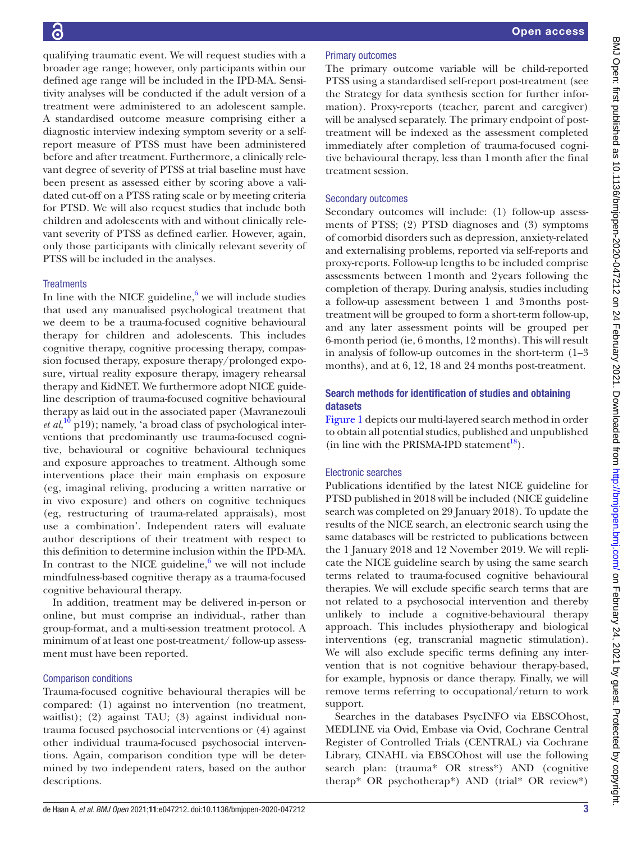Primary outcomes The primary outcome variable will be child-reported PTSS using a standardised self-report post-treatment (see the Strategy for data synthesis section for further information). Proxy-reports (teacher, parent and caregiver) will be analysed separately. The primary endpoint of posttreatment will be indexed as the assessment completed immediately after completion of trauma-focused cognitive behavioural therapy, less than 1month after the final treatment session. Secondary outcomes Secondary outcomes will include: (1) follow-up assessments of PTSS; (2) PTSD diagnoses and (3) symptoms of comorbid disorders such as depression, anxiety-related and externalising problems, reported via self-reports and proxy-reports. Follow-up lengths to be included comprise assessments between 1month and 2years following the completion of therapy. During analysis, studies including a follow-up assessment between 1 and 3months posttreatment will be grouped to form a short-term follow-up, and any later assessment points will be grouped per 6-month period (ie, 6 months, 12 months). This will result in analysis of follow-up outcomes in the short-term (1–3 months), and at 6, 12, 18 and 24 months post-treatment.

## Search methods for identification of studies and obtaining datasets

[Figure](#page-3-0) 1 depicts our multi-layered search method in order to obtain all potential studies, published and unpublished (in line with the PRISMA-IPD statement<sup>18</sup>).

## Electronic searches

Publications identified by the latest NICE guideline for PTSD published in 2018 will be included (NICE guideline search was completed on 29 January 2018). To update the results of the NICE search, an electronic search using the same databases will be restricted to publications between the 1 January 2018 and 12 November 2019. We will replicate the NICE guideline search by using the same search terms related to trauma-focused cognitive behavioural therapies. We will exclude specific search terms that are not related to a psychosocial intervention and thereby unlikely to include a cognitive-behavioural therapy approach. This includes physiotherapy and biological interventions (eg, transcranial magnetic stimulation). We will also exclude specific terms defining any intervention that is not cognitive behaviour therapy-based, for example, hypnosis or dance therapy. Finally, we will remove terms referring to occupational/return to work support.

Searches in the databases PsycINFO via EBSCOhost, MEDLINE via Ovid, Embase via Ovid, Cochrane Central Register of Controlled Trials (CENTRAL) via Cochrane Library, CINAHL via EBSCOhost will use the following search plan: (trauma\* OR stress\*) AND (cognitive therap\* OR psychotherap\*) AND (trial\* OR review\*)

qualifying traumatic event. We will request studies with a broader age range; however, only participants within our defined age range will be included in the IPD-MA. Sensitivity analyses will be conducted if the adult version of a treatment were administered to an adolescent sample. A standardised outcome measure comprising either a diagnostic interview indexing symptom severity or a selfreport measure of PTSS must have been administered before and after treatment. Furthermore, a clinically relevant degree of severity of PTSS at trial baseline must have been present as assessed either by scoring above a validated cut-off on a PTSS rating scale or by meeting criteria for PTSD. We will also request studies that include both children and adolescents with and without clinically relevant severity of PTSS as defined earlier. However, again, only those participants with clinically relevant severity of PTSS will be included in the analyses.

## **Treatments**

In line with the NICE guideline, $6$  we will include studies that used any manualised psychological treatment that we deem to be a trauma-focused cognitive behavioural therapy for children and adolescents. This includes cognitive therapy, cognitive processing therapy, compassion focused therapy, exposure therapy/prolonged exposure, virtual reality exposure therapy, imagery rehearsal therapy and KidNET. We furthermore adopt NICE guideline description of trauma-focused cognitive behavioural therapy as laid out in the associated paper (Mavranezouli *et al*,<sup>10</sup> p19); namely, 'a broad class of psychological interventions that predominantly use trauma-focused cognitive, behavioural or cognitive behavioural techniques and exposure approaches to treatment. Although some interventions place their main emphasis on exposure (eg, imaginal reliving, producing a written narrative or in vivo exposure) and others on cognitive techniques (eg, restructuring of trauma-related appraisals), most use a combination'. Independent raters will evaluate author descriptions of their treatment with respect to this definition to determine inclusion within the IPD-MA. In contrast to the NICE guideline, $6 \le$  $6 \le$  we will not include mindfulness-based cognitive therapy as a trauma-focused cognitive behavioural therapy.

In addition, treatment may be delivered in-person or online, but must comprise an individual-, rather than group-format, and a multi-session treatment protocol. A minimum of at least one post-treatment/ follow-up assessment must have been reported.

#### Comparison conditions

Trauma-focused cognitive behavioural therapies will be compared: (1) against no intervention (no treatment, waitlist); (2) against TAU; (3) against individual nontrauma focused psychosocial interventions or (4) against other individual trauma-focused psychosocial interventions. Again, comparison condition type will be determined by two independent raters, based on the author descriptions.

## de Haan A, *et al. BMJ Open* 2021;11:e047212. doi:10.1136/bmjopen-2020-047212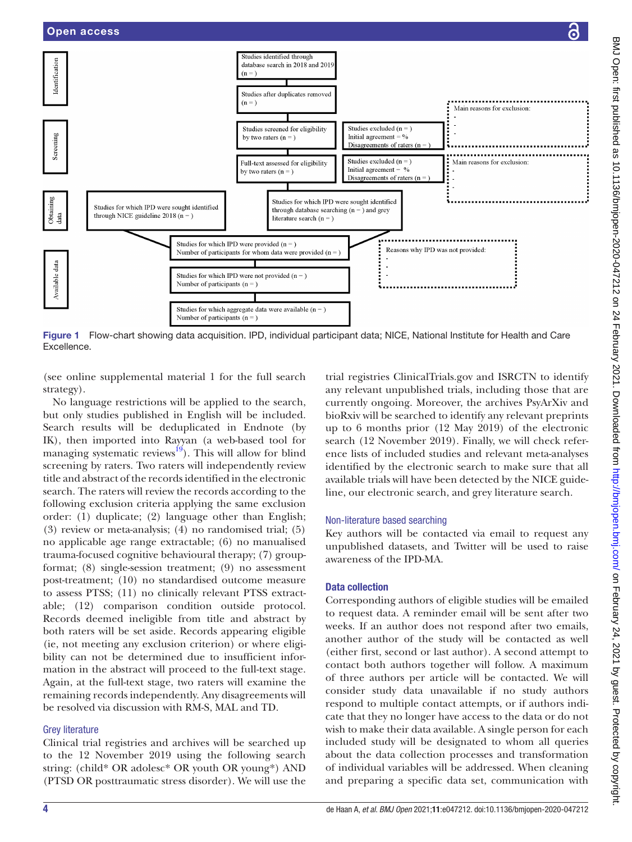

<span id="page-3-0"></span>Figure 1 Flow-chart showing data acquisition. IPD, individual participant data; NICE, National Institute for Health and Care Excellence.

(see [online supplemental material 1](https://dx.doi.org/10.1136/bmjopen-2020-047212) for the full search strategy).

No language restrictions will be applied to the search, but only studies published in English will be included. Search results will be deduplicated in Endnote (by IK), then imported into Rayyan (a web-based tool for managing systematic reviews $^{19}$ ). This will allow for blind screening by raters. Two raters will independently review title and abstract of the records identified in the electronic search. The raters will review the records according to the following exclusion criteria applying the same exclusion order: (1) duplicate; (2) language other than English; (3) review or meta-analysis; (4) no randomised trial; (5) no applicable age range extractable; (6) no manualised trauma-focused cognitive behavioural therapy; (7) groupformat; (8) single-session treatment; (9) no assessment post-treatment; (10) no standardised outcome measure to assess PTSS; (11) no clinically relevant PTSS extractable; (12) comparison condition outside protocol. Records deemed ineligible from title and abstract by both raters will be set aside. Records appearing eligible (ie, not meeting any exclusion criterion) or where eligibility can not be determined due to insufficient information in the abstract will proceed to the full-text stage. Again, at the full-text stage, two raters will examine the remaining records independently. Any disagreements will be resolved via discussion with RM-S, MAL and TD.

## Grey literature

Clinical trial registries and archives will be searched up to the 12 November 2019 using the following search string: (child\* OR adolesc\* OR youth OR young\*) AND (PTSD OR posttraumatic stress disorder). We will use the

trial registries ClinicalTrials.gov and ISRCTN to identify any relevant unpublished trials, including those that are currently ongoing. Moreover, the archives PsyArXiv and bioRxiv will be searched to identify any relevant preprints up to 6 months prior (12 May 2019) of the electronic search (12 November 2019). Finally, we will check reference lists of included studies and relevant meta-analyses identified by the electronic search to make sure that all available trials will have been detected by the NICE guideline, our electronic search, and grey literature search.

## Non-literature based searching

Key authors will be contacted via email to request any unpublished datasets, and Twitter will be used to raise awareness of the IPD-MA.

## Data collection

Corresponding authors of eligible studies will be emailed to request data. A reminder email will be sent after two weeks. If an author does not respond after two emails, another author of the study will be contacted as well (either first, second or last author). A second attempt to contact both authors together will follow. A maximum of three authors per article will be contacted. We will consider study data unavailable if no study authors respond to multiple contact attempts, or if authors indicate that they no longer have access to the data or do not wish to make their data available. A single person for each included study will be designated to whom all queries about the data collection processes and transformation of individual variables will be addressed. When cleaning and preparing a specific data set, communication with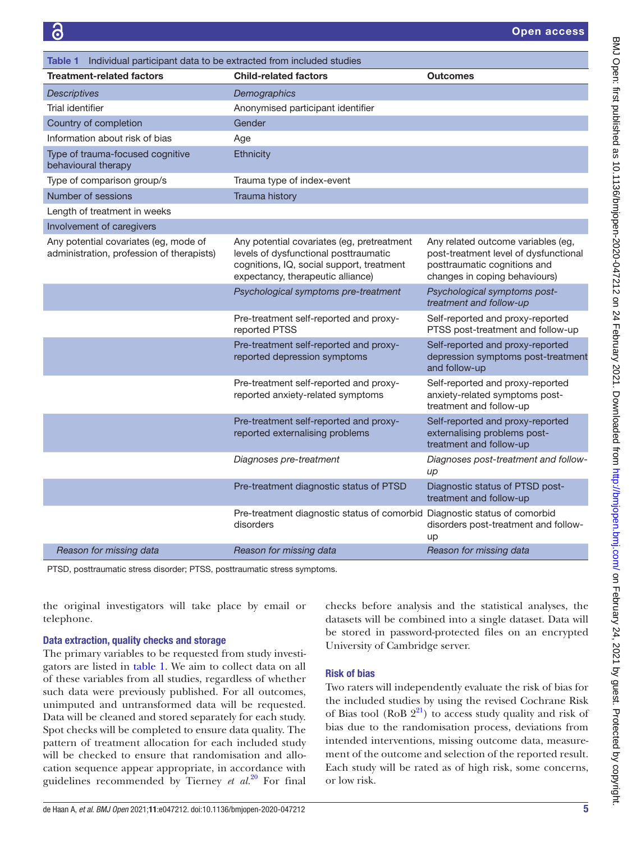<span id="page-4-0"></span>

| <b>Table 1</b> Individual participant data to be extracted from included studies   |                                                                                                                                                                       |                                                                                                                                              |
|------------------------------------------------------------------------------------|-----------------------------------------------------------------------------------------------------------------------------------------------------------------------|----------------------------------------------------------------------------------------------------------------------------------------------|
| <b>Treatment-related factors</b>                                                   | <b>Child-related factors</b>                                                                                                                                          | <b>Outcomes</b>                                                                                                                              |
| <b>Descriptives</b>                                                                | Demographics                                                                                                                                                          |                                                                                                                                              |
| Trial identifier                                                                   | Anonymised participant identifier                                                                                                                                     |                                                                                                                                              |
| Country of completion                                                              | Gender                                                                                                                                                                |                                                                                                                                              |
| Information about risk of bias                                                     | Age                                                                                                                                                                   |                                                                                                                                              |
| Type of trauma-focused cognitive<br>behavioural therapy                            | Ethnicity                                                                                                                                                             |                                                                                                                                              |
| Type of comparison group/s                                                         | Trauma type of index-event                                                                                                                                            |                                                                                                                                              |
| Number of sessions                                                                 | Trauma history                                                                                                                                                        |                                                                                                                                              |
| Length of treatment in weeks                                                       |                                                                                                                                                                       |                                                                                                                                              |
| Involvement of caregivers                                                          |                                                                                                                                                                       |                                                                                                                                              |
| Any potential covariates (eg, mode of<br>administration, profession of therapists) | Any potential covariates (eg, pretreatment<br>levels of dysfunctional posttraumatic<br>cognitions, IQ, social support, treatment<br>expectancy, therapeutic alliance) | Any related outcome variables (eg,<br>post-treatment level of dysfunctional<br>posttraumatic cognitions and<br>changes in coping behaviours) |
|                                                                                    | Psychological symptoms pre-treatment                                                                                                                                  | Psychological symptoms post-<br>treatment and follow-up                                                                                      |
|                                                                                    | Pre-treatment self-reported and proxy-<br>reported PTSS                                                                                                               | Self-reported and proxy-reported<br>PTSS post-treatment and follow-up                                                                        |
|                                                                                    | Pre-treatment self-reported and proxy-<br>reported depression symptoms                                                                                                | Self-reported and proxy-reported<br>depression symptoms post-treatment<br>and follow-up                                                      |
|                                                                                    | Pre-treatment self-reported and proxy-<br>reported anxiety-related symptoms                                                                                           | Self-reported and proxy-reported<br>anxiety-related symptoms post-<br>treatment and follow-up                                                |
|                                                                                    | Pre-treatment self-reported and proxy-<br>reported externalising problems                                                                                             | Self-reported and proxy-reported<br>externalising problems post-<br>treatment and follow-up                                                  |
|                                                                                    | Diagnoses pre-treatment                                                                                                                                               | Diagnoses post-treatment and follow-<br>$\mu$                                                                                                |
|                                                                                    | Pre-treatment diagnostic status of PTSD                                                                                                                               | Diagnostic status of PTSD post-<br>treatment and follow-up                                                                                   |
|                                                                                    | Pre-treatment diagnostic status of comorbid<br>disorders                                                                                                              | Diagnostic status of comorbid<br>disorders post-treatment and follow-<br>up                                                                  |
| Reason for missing data                                                            | Reason for missing data                                                                                                                                               | Reason for missing data                                                                                                                      |

PTSD, posttraumatic stress disorder; PTSS, posttraumatic stress symptoms.

the original investigators will take place by email or telephone.

#### Data extraction, quality checks and storage

The primary variables to be requested from study investigators are listed in [table](#page-4-0) 1. We aim to collect data on all of these variables from all studies, regardless of whether such data were previously published. For all outcomes, unimputed and untransformed data will be requested. Data will be cleaned and stored separately for each study. Spot checks will be completed to ensure data quality. The pattern of treatment allocation for each included study will be checked to ensure that randomisation and allocation sequence appear appropriate, in accordance with guidelines recommended by Tierney *et al.*[20](#page-6-11) For final

checks before analysis and the statistical analyses, the datasets will be combined into a single dataset. Data will be stored in password-protected files on an encrypted University of Cambridge server.

## Risk of bias

Two raters will independently evaluate the risk of bias for the included studies by using the revised Cochrane Risk of Bias tool (RoB  $2^{21}$  $2^{21}$  $2^{21}$ ) to access study quality and risk of bias due to the randomisation process, deviations from intended interventions, missing outcome data, measurement of the outcome and selection of the reported result. Each study will be rated as of high risk, some concerns, or low risk.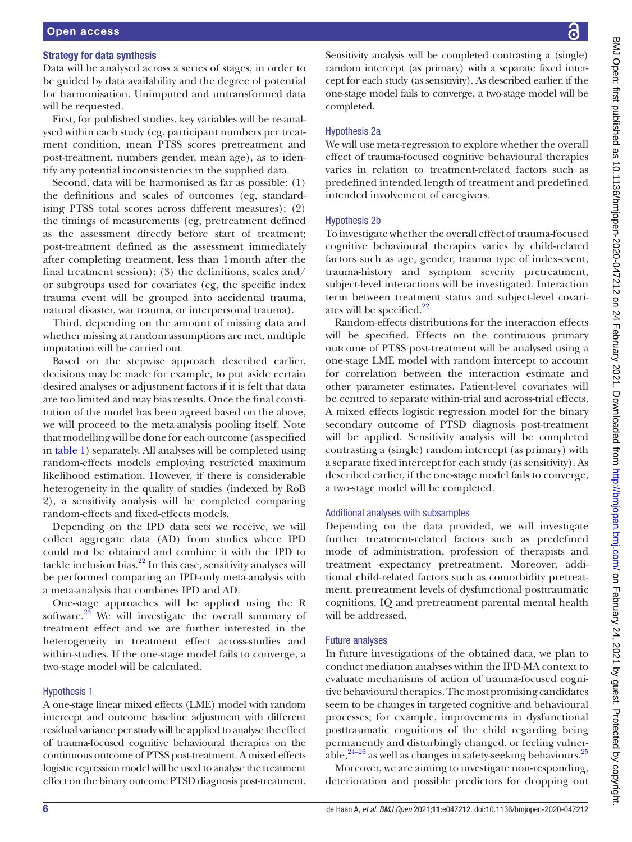## Open access

#### Strategy for data synthesis

Data will be analysed across a series of stages, in order to be guided by data availability and the degree of potential for harmonisation. Unimputed and untransformed data will be requested.

First, for published studies, key variables will be re-analysed within each study (eg, participant numbers per treatment condition, mean PTSS scores pretreatment and post-treatment, numbers gender, mean age), as to identify any potential inconsistencies in the supplied data.

Second, data will be harmonised as far as possible: (1) the definitions and scales of outcomes (eg, standardising PTSS total scores across different measures); (2) the timings of measurements (eg, pretreatment defined as the assessment directly before start of treatment; post-treatment defined as the assessment immediately after completing treatment, less than 1month after the final treatment session); (3) the definitions, scales and/ or subgroups used for covariates (eg, the specific index trauma event will be grouped into accidental trauma, natural disaster, war trauma, or interpersonal trauma).

Third, depending on the amount of missing data and whether missing at random assumptions are met, multiple imputation will be carried out.

Based on the stepwise approach described earlier, decisions may be made for example, to put aside certain desired analyses or adjustment factors if it is felt that data are too limited and may bias results. Once the final constitution of the model has been agreed based on the above, we will proceed to the meta-analysis pooling itself. Note that modelling will be done for each outcome (as specified in [table](#page-4-0) 1) separately. All analyses will be completed using random-effects models employing restricted maximum likelihood estimation. However, if there is considerable heterogeneity in the quality of studies (indexed by RoB 2), a sensitivity analysis will be completed comparing random-effects and fixed-effects models.

Depending on the IPD data sets we receive, we will collect aggregate data (AD) from studies where IPD could not be obtained and combine it with the IPD to tackle inclusion bias. $^{22}$  In this case, sensitivity analyses will be performed comparing an IPD-only meta-analysis with a meta-analysis that combines IPD and AD.

One-stage approaches will be applied using the R software. $23$  We will investigate the overall summary of treatment effect and we are further interested in the heterogeneity in treatment effect across-studies and within-studies. If the one-stage model fails to converge, a two-stage model will be calculated.

#### Hypothesis 1

A one-stage linear mixed effects (LME) model with random intercept and outcome baseline adjustment with different residual variance per study will be applied to analyse the effect of trauma-focused cognitive behavioural therapies on the continuous outcome of PTSS post-treatment. A mixed effects logistic regression model will be used to analyse the treatment effect on the binary outcome PTSD diagnosis post-treatment. Sensitivity analysis will be completed contrasting a (single) random intercept (as primary) with a separate fixed intercept for each study (as sensitivity). As described earlier, if the one-stage model fails to converge, a two-stage model will be completed.

#### Hypothesis 2a

We will use meta-regression to explore whether the overall effect of trauma-focused cognitive behavioural therapies varies in relation to treatment-related factors such as predefined intended length of treatment and predefined intended involvement of caregivers.

#### Hypothesis 2b

To investigate whether the overall effect of trauma-focused cognitive behavioural therapies varies by child-related factors such as age, gender, trauma type of index-event, trauma-history and symptom severity pretreatment, subject-level interactions will be investigated. Interaction term between treatment status and subject-level covari-ates will be specified.<sup>[22](#page-6-13)</sup>

Random-effects distributions for the interaction effects will be specified. Effects on the continuous primary outcome of PTSS post-treatment will be analysed using a one-stage LME model with random intercept to account for correlation between the interaction estimate and other parameter estimates. Patient-level covariates will be centred to separate within-trial and across-trial effects. A mixed effects logistic regression model for the binary secondary outcome of PTSD diagnosis post-treatment will be applied. Sensitivity analysis will be completed contrasting a (single) random intercept (as primary) with a separate fixed intercept for each study (as sensitivity). As described earlier, if the one-stage model fails to converge, a two-stage model will be completed.

#### Additional analyses with subsamples

Depending on the data provided, we will investigate further treatment-related factors such as predefined mode of administration, profession of therapists and treatment expectancy pretreatment. Moreover, additional child-related factors such as comorbidity pretreatment, pretreatment levels of dysfunctional posttraumatic cognitions, IQ and pretreatment parental mental health will be addressed.

#### Future analyses

In future investigations of the obtained data, we plan to conduct mediation analyses within the IPD-MA context to evaluate mechanisms of action of trauma-focused cognitive behavioural therapies. The most promising candidates seem to be changes in targeted cognitive and behavioural processes; for example, improvements in dysfunctional posttraumatic cognitions of the child regarding being permanently and disturbingly changed, or feeling vulnerable, $24-26$  as well as changes in safety-seeking behaviours.<sup>[25](#page-6-16)</sup>

Moreover, we are aiming to investigate non-responding, deterioration and possible predictors for dropping out